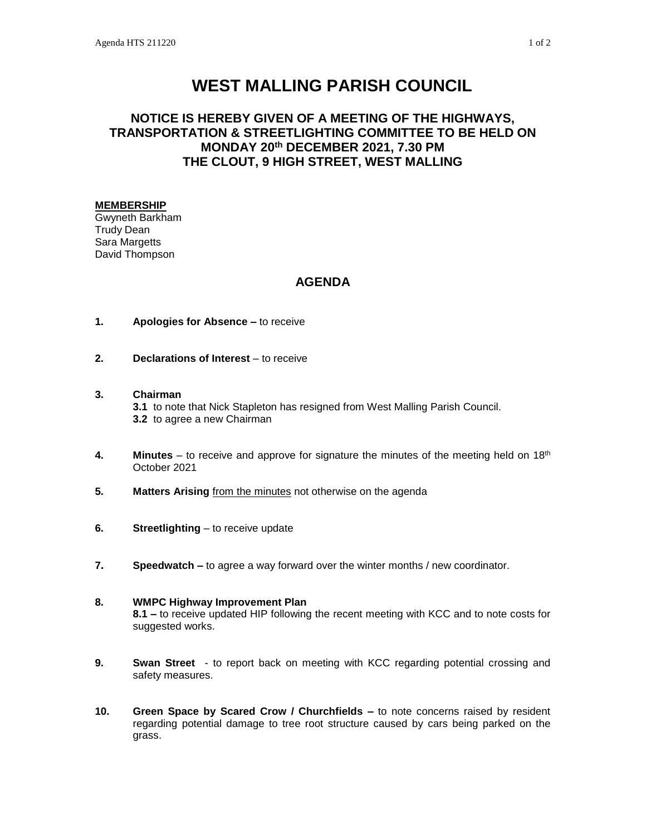# **WEST MALLING PARISH COUNCIL**

## **NOTICE IS HEREBY GIVEN OF A MEETING OF THE HIGHWAYS, TRANSPORTATION & STREETLIGHTING COMMITTEE TO BE HELD ON MONDAY 20th DECEMBER 2021, 7.30 PM THE CLOUT, 9 HIGH STREET, WEST MALLING**

#### **MEMBERSHIP**

Gwyneth Barkham Trudy Dean Sara Margetts David Thompson

### **AGENDA**

- **1. Apologies for Absence –** to receive
- **2. Declarations of Interest** to receive
- **3. Chairman**

**3.1** to note that Nick Stapleton has resigned from West Malling Parish Council. **3.2** to agree a new Chairman

- 4. **Minutes** to receive and approve for signature the minutes of the meeting held on 18<sup>th</sup> October 2021
- **5. Matters Arising** from the minutes not otherwise on the agenda
- **6. Streetlighting** to receive update
- **7. Speedwatch –** to agree a way forward over the winter months / new coordinator.

#### **8. WMPC Highway Improvement Plan**

**8.1 –** to receive updated HIP following the recent meeting with KCC and to note costs for suggested works.

- **9. Swan Street** to report back on meeting with KCC regarding potential crossing and safety measures.
- **10. Green Space by Scared Crow / Churchfields –** to note concerns raised by resident regarding potential damage to tree root structure caused by cars being parked on the grass.